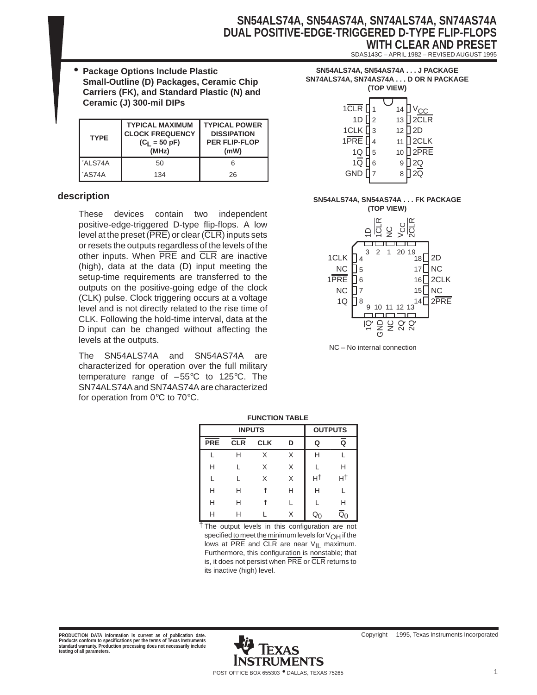### **SN54ALS74A, SN54AS74A, SN74ALS74A, SN74AS74A DUAL POSITIVE-EDGE-TRIGGERED D-TYPE FLIP-FLOPS WITH CLEAR AND PRESET**

SDAS143C – APRIL 1982 – REVISED AUGUST 1995

• **Package Options Include Plastic Small-Outline (D) Packages, Ceramic Chip Carriers (FK), and Standard Plastic (N) and Ceramic (J) 300-mil DIPs**

| <b>TYPE</b> | <b>TYPICAL MAXIMUM</b><br><b>CLOCK FREQUENCY</b><br>$(C_1 = 50 \text{ pF})$<br>(MHz) | <b>TYPICAL POWER</b><br><b>DISSIPATION</b><br><b>PER FLIP-FLOP</b><br>(mW) |
|-------------|--------------------------------------------------------------------------------------|----------------------------------------------------------------------------|
|             |                                                                                      |                                                                            |
| 'ALS74A     | 50                                                                                   |                                                                            |

### **description**

These devices contain two independent positive-edge-triggered D-type flip-flops. A low level at the preset ( $\overline{\mathsf{PRE}}$ ) or clear ( $\overline{\mathsf{CLR}}$ ) inputs sets or resets the outputs regardless of the levels of the other inputs. When PRE and CLR are inactive (high), data at the data (D) input meeting the setup-time requirements are transferred to the outputs on the positive-going edge of the clock (CLK) pulse. Clock triggering occurs at a voltage level and is not directly related to the rise time of CLK. Following the hold-time interval, data at the D input can be changed without affecting the levels at the outputs.

The SN54ALS74A and SN54AS74A are characterized for operation over the full military temperature range of –55°C to 125°C. The SN74ALS74A and SN74AS74A are characterized for operation from 0°C to 70°C.

|            | <b>FUNCTION TABLE</b> |                      |   |    |    |  |  |  |  |  |  |
|------------|-----------------------|----------------------|---|----|----|--|--|--|--|--|--|
|            | <b>INPUTS</b>         | <b>OUTPUTS</b>       |   |    |    |  |  |  |  |  |  |
| <b>PRE</b> | CLR                   | <b>CLK</b><br>Q<br>D |   |    |    |  |  |  |  |  |  |
| L          | н                     | X                    | X | н  |    |  |  |  |  |  |  |
| Н          | L                     | X                    | X |    | н  |  |  |  |  |  |  |
|            |                       | X                    | X | нt | нt |  |  |  |  |  |  |
| н          | Н                     |                      | Н | н  |    |  |  |  |  |  |  |
| н          | н                     |                      |   |    | н  |  |  |  |  |  |  |
| н          |                       |                      | X |    |    |  |  |  |  |  |  |

 $\overline{f}$  The output levels in this configuration are not specified to meet the minimum levels for  $V_{OH}$  if the lows at  $\overline{PRE}$  and  $\overline{CLR}$  are near  $V_{\vert L}$  maximum. Furthermore, this configuration is nonstable; that is, it does not persist when PRE or CLR returns to its inactive (high) level.

#### **SN54ALS74A, SN54AS74A . . . J PACKAGE SN74ALS74A, SN74AS74A . . . D OR N PACKAGE (TOP VIEW)**

| $1$ CLR $\prod$ <sub>1</sub><br>1D $\eta_2$<br>$1CLK$ <sup>3</sup><br>1PRE $\sqrt{14}$<br>1Q [<br>a∏ 5r<br>GND D7 | 5 | 11<br>10<br>9<br>8 | 14 $\frac{V_{CC}}{13}$ 2CLR<br>12 <sup>1</sup> 2D<br>$2$ CLK<br>$2$ PRE<br>] 2Q<br>$\overline{2\overline{Q}}$ |
|-------------------------------------------------------------------------------------------------------------------|---|--------------------|---------------------------------------------------------------------------------------------------------------|
|                                                                                                                   |   |                    |                                                                                                               |

# **SN54ALS74A, SN54AS74A . . . FK PACKAGE**

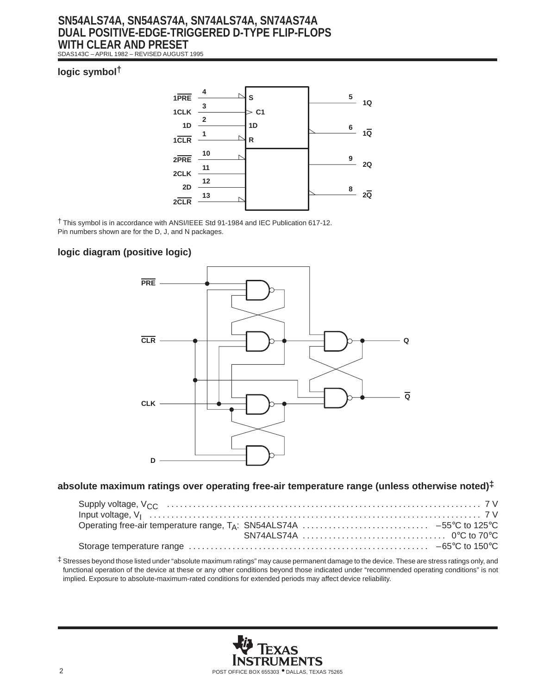# **SN54ALS74A, SN54AS74A, SN74ALS74A, SN74AS74A DUAL POSITIVE-EDGE-TRIGGERED D-TYPE FLIP-FLOPS WITH CLEAR AND PRESET**

SDAS143C – APRIL 1982 – REVISED AUGUST 1995

### **logic symbol†**



† This symbol is in accordance with ANSI/IEEE Std 91-1984 and IEC Publication 617-12. Pin numbers shown are for the D, J, and N packages.

### **logic diagram (positive logic)**



### **absolute maximum ratings over operating free-air temperature range (unless otherwise noted)‡**

‡ Stresses beyond those listed under "absolute maximum ratings" may cause permanent damage to the device. These are stress ratings only, and functional operation of the device at these or any other conditions beyond those indicated under "recommended operating conditions" is not implied. Exposure to absolute-maximum-rated conditions for extended periods may affect device reliability.

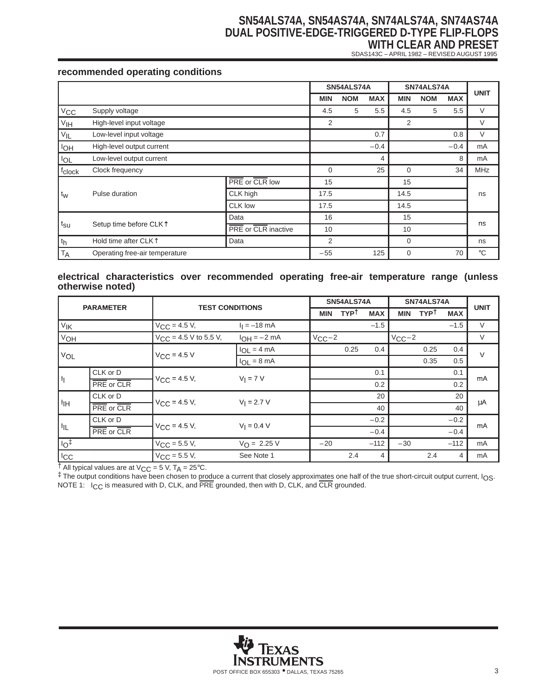### **SN54ALS74A, SN54AS74A, SN74ALS74A, SN74AS74A DUAL POSITIVE-EDGE-TRIGGERED D-TYPE FLIP-FLOPS WITH CLEAR AND PRESET**

SDAS143C – APRIL 1982 – REVISED AUGUST 1995

### **recommended operating conditions**

|                                                       |                                  |                     |             | SN54ALS74A |            | SN74ALS74A |            |            | <b>UNIT</b> |
|-------------------------------------------------------|----------------------------------|---------------------|-------------|------------|------------|------------|------------|------------|-------------|
|                                                       |                                  |                     | <b>MIN</b>  | <b>NOM</b> | <b>MAX</b> | <b>MIN</b> | <b>NOM</b> | <b>MAX</b> |             |
| $V_{\text{CC}}$                                       | Supply voltage                   |                     | 4.5         | 5          | 5.5        | 4.5        | 5          | 5.5        | V           |
| V <sub>IH</sub>                                       | High-level input voltage         |                     | 2           |            |            | 2          |            |            | V           |
| $V_{\mathsf{IL}}$                                     | Low-level input voltage          |                     |             |            | 0.7        |            |            | 0.8        | $\vee$      |
| <b>I<sub>OH</sub></b>                                 | High-level output current        |                     |             |            | $-0.4$     |            |            | $-0.4$     | mA          |
| $I_{OL}$                                              | Low-level output current         |                     |             |            | 4          |            |            | 8          | mA          |
| fclock                                                | Clock frequency                  |                     | $\mathbf 0$ |            | 25         | $\Omega$   |            | 34         | <b>MHz</b>  |
|                                                       |                                  | PRE or CLR low      | 15          |            |            | 15         |            |            |             |
| t <sub>w</sub>                                        | Pulse duration                   | CLK high            | 17.5        |            |            | 14.5       |            |            | ns          |
|                                                       |                                  | <b>CLK low</b>      | 17.5        |            |            | 14.5       |            |            |             |
|                                                       |                                  | Data                | 16          |            |            | 15         |            |            |             |
| $t_{\text{SU}}$<br>Setup time before CLK <sup>1</sup> |                                  | PRE or CLR inactive | 10          |            |            | 10         |            |            | ns          |
| $ t_h$                                                | Hold time after CLK <sup>T</sup> | Data                | 2           |            |            | 0          |            |            | ns          |
| <b>TA</b>                                             | Operating free-air temperature   |                     | $-55$       |            | 125        | $\Omega$   |            | 70         | $^{\circ}C$ |

#### **electrical characteristics over recommended operating free-air temperature range (unless otherwise noted)**

| <b>PARAMETER</b> |                   |                                           |                         |            | SN54ALS74A  |            |            | SN74ALS74A  |            | <b>UNIT</b> |
|------------------|-------------------|-------------------------------------------|-------------------------|------------|-------------|------------|------------|-------------|------------|-------------|
|                  |                   | <b>TEST CONDITIONS</b>                    |                         | <b>MIN</b> | <b>TYPT</b> | <b>MAX</b> | <b>MIN</b> | <b>TYPT</b> | <b>MAX</b> |             |
| VIK              |                   | $V_{\text{CC}} = 4.5 V,$                  | $I_1 = -18$ mA          |            |             | $-1.5$     |            |             | $-1.5$     | $\vee$      |
| VOH              |                   | $V_{\text{CC}} = 4.5 \text{ V}$ to 5.5 V, | $IOH = -2 mA$           | $V_{CC}-2$ |             |            | $V_{CC}-2$ |             |            | $\vee$      |
|                  |                   |                                           | $I_{OL} = 4 mA$         |            | 0.25        | 0.4        |            | 0.25        | 0.4        | $\vee$      |
| VOL              |                   | $V_{C,C} = 4.5 V$                         | $I_{OL} = 8 \text{ mA}$ |            |             |            |            | 0.35        | 0.5        |             |
| Ιŋ               | CLK or D          | $V_{CC}$ = 4.5 V,                         | $V_I = 7 V$             |            |             | 0.1        |            |             | 0.1        | mA          |
|                  | PRE or CLR        |                                           |                         |            |             | 0.2        |            |             | 0.2        |             |
|                  | CLK or D          | $V_{C}C = 4.5 V$ ,                        | $V_1 = 2.7 V$           |            |             | 20         |            |             | 20         |             |
| IІН              | PRE or CLR        |                                           |                         |            |             | 40         |            |             | 40         | μA          |
|                  | CLK or D          |                                           | $V_1 = 0.4 V$           |            |             | $-0.2$     |            |             | $-0.2$     | mA          |
| 肛                | <b>PRE</b> or CLR | $V_{\text{CC}} = 4.5 V,$                  |                         |            |             | $-0.4$     |            |             | $-0.4$     |             |
| $I_{\text{O}}$   |                   | $V_{CC}$ = 5.5 V,                         | $V_{\Omega} = 2.25 V$   | $-20$      |             | $-112$     | $-30$      |             | $-112$     | mA          |
| I <sub>cc</sub>  |                   | $V_{C.C.} = 5.5 V,$                       | See Note 1              |            | 2.4         | 4          |            | 2.4         | 4          | mA          |

 $\dagger$  All typical values are at V<sub>CC</sub> = 5 V, T<sub>A</sub> = 25°C.

‡ The output conditions have been chosen to produce a current that closely approximates one half of the true short-circuit output current, IOS. NOTE 1: I<sub>CC</sub> is measured with D, CLK, and PRE grounded, then with D, CLK, and CLR grounded.

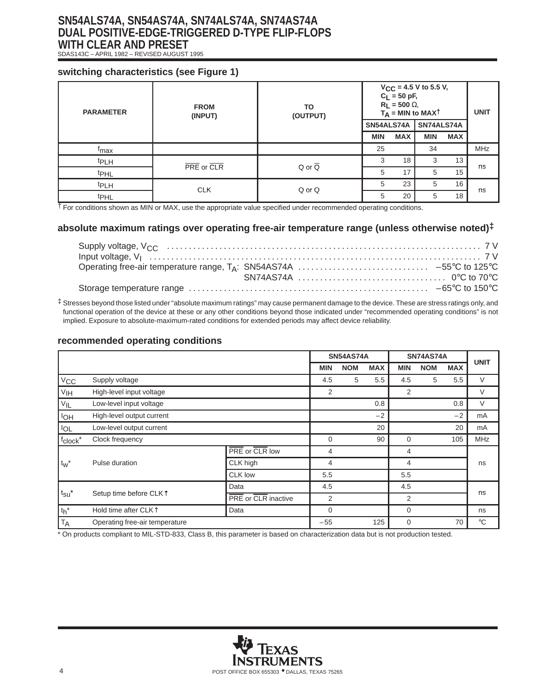# **SN54ALS74A, SN54AS74A, SN74ALS74A, SN74AS74A DUAL POSITIVE-EDGE-TRIGGERED D-TYPE FLIP-FLOPS WITH CLEAR AND PRESET**

SDAS143C – APRIL 1982 – REVISED AUGUST 1995

### **switching characteristics (see Figure 1)**

| <b>PARAMETER</b> | <b>FROM</b><br>(INPUT) | TO<br>(OUTPUT)        |            | $C_L = 50 pF,$<br>$R_L$ = 500 $\Omega$ , | $V_{CC}$ = 4.5 V to 5.5 V,<br>$T_A$ = MIN to MAXT |            | <b>UNIT</b> |
|------------------|------------------------|-----------------------|------------|------------------------------------------|---------------------------------------------------|------------|-------------|
|                  |                        |                       | SN54ALS74A |                                          | SN74ALS74A                                        |            |             |
|                  |                        |                       | MIN        | <b>MAX</b>                               | <b>MIN</b>                                        | <b>MAX</b> |             |
| <sup>t</sup> max |                        |                       | 25         |                                          | 34                                                |            | <b>MHz</b>  |
| <sup>t</sup> PLH | PRE or CLR             | $Q$ or $\overline{Q}$ | 3          | 18                                       | 3                                                 | 13         | ns          |
| <sup>t</sup> PHL |                        |                       | 5          | 17                                       | 5                                                 | 15         |             |
| <sup>t</sup> PLH | <b>CLK</b>             | Q or Q                | 5          | 23                                       | 5                                                 | 16         | ns          |
| t <sub>PHL</sub> |                        |                       | 5          | 20                                       | 5                                                 | 18         |             |

† For conditions shown as MIN or MAX, use the appropriate value specified under recommended operating conditions.

### **absolute maximum ratings over operating free-air temperature range (unless otherwise noted)‡**

‡ Stresses beyond those listed under "absolute maximum ratings" may cause permanent damage to the device. These are stress ratings only, and functional operation of the device at these or any other conditions beyond those indicated under "recommended operating conditions" is not implied. Exposure to absolute-maximum-rated conditions for extended periods may affect device reliability.

#### **recommended operating conditions**

|                        |                                    |                     |                | <b>SN54AS74A</b> |            | SN74AS74A   |            |            | <b>UNIT</b>     |
|------------------------|------------------------------------|---------------------|----------------|------------------|------------|-------------|------------|------------|-----------------|
|                        |                                    |                     | <b>MIN</b>     | <b>NOM</b>       | <b>MAX</b> | <b>MIN</b>  | <b>NOM</b> | <b>MAX</b> |                 |
| $V_{\text{CC}}$        | Supply voltage                     |                     | 4.5            | 5                | 5.5        | 4.5         | 5          | 5.5        | $\vee$          |
| V <sub>IH</sub>        | High-level input voltage           |                     | 2              |                  |            | 2           |            |            | V               |
| $V_{IL}$               | Low-level input voltage            |                     |                |                  | 0.8        |             |            | 0.8        | $\vee$          |
| <b>IOH</b>             | High-level output current          |                     |                |                  | $-2$       |             |            | $-2$       | mA              |
| <b>IOL</b>             | Low-level output current           |                     |                |                  | 20         |             |            | 20         | mA              |
| $f_{\mathsf{clock}}$ * | Clock frequency                    |                     | 0              |                  | 90         | $\mathbf 0$ |            | 105        | <b>MHz</b>      |
|                        |                                    | PRE or CLR low      | $\overline{4}$ |                  |            | 4           |            |            |                 |
| $t_W$ <sup>*</sup>     | Pulse duration                     | CLK high            | $\overline{4}$ |                  |            | 4           |            |            | ns              |
|                        |                                    | <b>CLK low</b>      | 5.5            |                  |            | 5.5         |            |            |                 |
|                        |                                    | Data                | 4.5            |                  |            | 4.5         |            |            | ns              |
| $t_{\text{SU}}^*$      | Setup time before CLK <sup>1</sup> | PRE or CLR inactive | 2              |                  |            | 2           |            |            |                 |
| $t_h$ *                | Hold time after CLK <sup>T</sup>   | Data                | $\overline{0}$ |                  |            | $\mathbf 0$ |            |            | ns              |
| TA                     | Operating free-air temperature     |                     | $-55$          |                  | 125        | $\mathbf 0$ |            | 70         | $\rm ^{\circ}C$ |

\* On products compliant to MIL-STD-833, Class B, this parameter is based on characterization data but is not production tested.

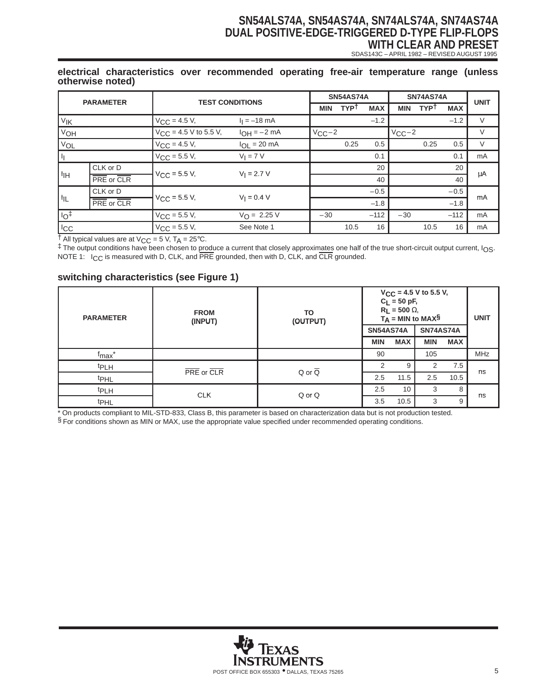# **SN54ALS74A, SN54AS74A, SN74ALS74A, SN74AS74A DUAL POSITIVE-EDGE-TRIGGERED D-TYPE FLIP-FLOPS WITH CLEAR AND PRESET**

SDAS143C – APRIL 1982 – REVISED AUGUST 1995

#### **electrical characteristics over recommended operating free-air temperature range (unless otherwise noted)**

| <b>PARAMETER</b>              |            |                            |                       |            | <b>SN54AS74A</b> |            |            | <b>SN74AS74A</b> |            | <b>UNIT</b> |
|-------------------------------|------------|----------------------------|-----------------------|------------|------------------|------------|------------|------------------|------------|-------------|
|                               |            | <b>TEST CONDITIONS</b>     |                       | <b>MIN</b> | <b>TYPT</b>      | <b>MAX</b> | <b>MIN</b> | <b>TYPT</b>      | <b>MAX</b> |             |
| V <sub>IK</sub>               |            | $V_{\text{CC}} = 4.5 V,$   | $I_1 = -18$ mA        |            |                  | $-1.2$     |            |                  | $-1.2$     | $\vee$      |
| V <sub>OH</sub>               |            | $V_{CC}$ = 4.5 V to 5.5 V, | $I_{OH} = -2 mA$      | $V_{CC}-2$ |                  |            | $V_{CC}-2$ |                  |            | V           |
| V <sub>OL</sub>               |            | $V_{CC} = 4.5 V,$          | $I_{OL}$ = 20 mA      |            | 0.25             | 0.5        |            | 0.25             | 0.5        | V           |
| Ιŧ                            |            | $V_{\text{CC}} = 5.5 V,$   | $V_I = 7 V$           |            |                  | 0.1        |            |                  | 0.1        | mA          |
|                               | CLK or D   |                            | $V_1 = 2.7 V$         |            |                  | 20         |            |                  | 20         |             |
| ∣ I <sub>IH</sub>             | PRE or CLR | $V_{CC}$ = 5.5 V,          |                       |            |                  | 40         |            |                  | 40         | μA          |
|                               | CLK or D   |                            | $V_1 = 0.4 V$         |            |                  | $-0.5$     |            |                  | $-0.5$     | mA          |
| $\vert$ $\vert$ <sub>IL</sub> | PRE or CLR | $V_{\text{CC}}$ = 5.5 V,   |                       |            |                  | $-1.8$     |            |                  | $-1.8$     |             |
| 10 <sup>†</sup>               |            | $V_{\text{CC}} = 5.5 V,$   | $V_{\Omega} = 2.25 V$ | $-30$      |                  | $-112$     | $-30$      |                  | $-112$     | mA          |
| I <sub>cc</sub>               |            | $V_{\text{CC}} = 5.5 V,$   | See Note 1            |            | 10.5             | 16         |            | 10.5             | 16         | mA          |

 $\dagger$  All typical values are at V<sub>CC</sub> = 5 V, T<sub>A</sub> = 25°C.

‡ The output conditions have been chosen to produce a current that closely approximates one half of the true short-circuit output current, IOS. NOTE 1: I<sub>CC</sub> is measured with D, CLK, and PRE grounded, then with D, CLK, and CLR grounded.

### **switching characteristics (see Figure 1)**

| <b>PARAMETER</b>   | <b>FROM</b><br>(INPUT) | TO<br>(OUTPUT)        |                  | $C_L = 50 pF,$<br>$R_L$ = 500 $\Omega$ , | $V_{CC}$ = 4.5 V to 5.5 V,<br>$T_A = MIN to MAX$$ |            | <b>UNIT</b> |
|--------------------|------------------------|-----------------------|------------------|------------------------------------------|---------------------------------------------------|------------|-------------|
|                    |                        |                       | <b>SN54AS74A</b> |                                          | <b>SN74AS74A</b>                                  |            |             |
|                    |                        |                       | <b>MIN</b>       | <b>MAX</b>                               | <b>MIN</b>                                        | <b>MAX</b> |             |
| f <sub>max</sub> * |                        |                       | 90               |                                          | 105                                               |            | <b>MHz</b>  |
| <sup>t</sup> PLH   |                        |                       | $\mathcal{P}$    | 9                                        | 2                                                 | 7.5        |             |
| t <sub>PHL</sub>   | PRE or CLR             | $Q$ or $\overline{Q}$ | 2.5              | 11.5                                     | 2.5                                               | 10.5       | ns          |
| <b>tPLH</b>        | <b>CLK</b>             | Q or Q                | 2.5              | 10                                       | 3                                                 | 8          |             |
| t <sub>PHL</sub>   |                        |                       | 3.5              | 10.5                                     | 3                                                 | 9          | ns          |

\* On products compliant to MIL-STD-833, Class B, this parameter is based on characterization data but is not production tested. § For conditions shown as MIN or MAX, use the appropriate value specified under recommended operating conditions.